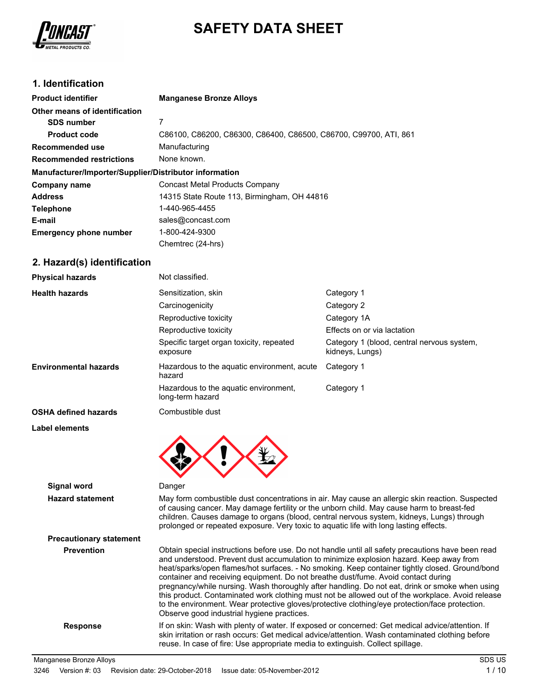

# **SAFETY DATA SHEET**

## **1. Identification**

| <b>Product identifier</b>                              | <b>Manganese Bronze Alloys</b>                                   |  |  |
|--------------------------------------------------------|------------------------------------------------------------------|--|--|
| Other means of identification                          |                                                                  |  |  |
| <b>SDS number</b>                                      | 7                                                                |  |  |
| <b>Product code</b>                                    | C86100, C86200, C86300, C86400, C86500, C86700, C99700, ATI, 861 |  |  |
| Recommended use                                        | Manufacturing                                                    |  |  |
| <b>Recommended restrictions</b>                        | None known.                                                      |  |  |
| Manufacturer/Importer/Supplier/Distributor information |                                                                  |  |  |
| Company name                                           | <b>Concast Metal Products Company</b>                            |  |  |
| <b>Address</b>                                         | 14315 State Route 113, Birmingham, OH 44816                      |  |  |
| <b>Telephone</b>                                       | 1-440-965-4455                                                   |  |  |
| E-mail                                                 | sales@concast.com                                                |  |  |
| <b>Emergency phone number</b>                          | 1-800-424-9300                                                   |  |  |
|                                                        | Chemtrec (24-hrs)                                                |  |  |

## **2. Hazard(s) identification**

| <b>Physical hazards</b>      | Not classified.                                           |                                                               |
|------------------------------|-----------------------------------------------------------|---------------------------------------------------------------|
| <b>Health hazards</b>        | Sensitization, skin                                       | Category 1                                                    |
|                              | Carcinogenicity                                           | Category 2                                                    |
|                              | Reproductive toxicity                                     | Category 1A                                                   |
|                              | Reproductive toxicity                                     | Effects on or via lactation                                   |
|                              | Specific target organ toxicity, repeated<br>exposure      | Category 1 (blood, central nervous system,<br>kidneys, Lungs) |
| <b>Environmental hazards</b> | Hazardous to the aquatic environment, acute<br>hazard     | Category 1                                                    |
|                              | Hazardous to the aquatic environment,<br>long-term hazard | Category 1                                                    |
| <b>OSHA defined hazards</b>  | Combustible dust                                          |                                                               |
| Label elements               |                                                           |                                                               |
|                              |                                                           |                                                               |

**Signal word** Danger **Hazard statement** May form combustible dust concentrations in air. May cause an allergic skin reaction. Suspected of causing cancer. May damage fertility or the unborn child. May cause harm to breast-fed children. Causes damage to organs (blood, central nervous system, kidneys, Lungs) through prolonged or repeated exposure. Very toxic to aquatic life with long lasting effects. **Precautionary statement Prevention** Obtain special instructions before use. Do not handle until all safety precautions have been read and understood. Prevent dust accumulation to minimize explosion hazard. Keep away from heat/sparks/open flames/hot surfaces. - No smoking. Keep container tightly closed. Ground/bond container and receiving equipment. Do not breathe dust/fume. Avoid contact during pregnancy/while nursing. Wash thoroughly after handling. Do not eat, drink or smoke when using this product. Contaminated work clothing must not be allowed out of the workplace. Avoid release to the environment. Wear protective gloves/protective clothing/eye protection/face protection. Observe good industrial hygiene practices. Response If on skin: Wash with plenty of water. If exposed or concerned: Get medical advice/attention. If skin irritation or rash occurs: Get medical advice/attention. Wash contaminated clothing before reuse. In case of fire: Use appropriate media to extinguish. Collect spillage.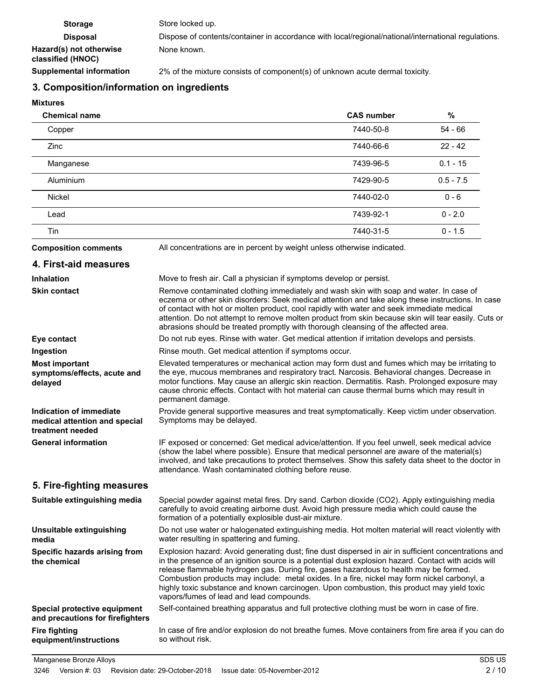| <b>Storage</b>                               | Store locked up.                                                                                    |
|----------------------------------------------|-----------------------------------------------------------------------------------------------------|
| <b>Disposal</b>                              | Dispose of contents/container in accordance with local/regional/national/international regulations. |
| Hazard(s) not otherwise<br>classified (HNOC) | None known.                                                                                         |
| <b>Supplemental information</b>              | 2% of the mixture consists of component(s) of unknown acute dermal toxicity.                        |

## **3. Composition/information on ingredients**

#### **Mixtures**

| <b>Chemical name</b> | <b>CAS number</b> | %           |
|----------------------|-------------------|-------------|
| Copper               | 7440-50-8         | 54 - 66     |
| <b>Zinc</b>          | 7440-66-6         | $22 - 42$   |
| Manganese            | 7439-96-5         | $0.1 - 15$  |
| Aluminium            | 7429-90-5         | $0.5 - 7.5$ |
| <b>Nickel</b>        | 7440-02-0         | $0 - 6$     |
| Lead                 | 7439-92-1         | $0 - 2.0$   |
| Tin                  | 7440-31-5         | $0 - 1.5$   |

**Composition comments** All concentrations are in percent by weight unless otherwise indicated.

#### **4. First-aid measures Inhalation** Move to fresh air. Call a physician if symptoms develop or persist. Remove contaminated clothing immediately and wash skin with soap and water. In case of eczema or other skin disorders: Seek medical attention and take along these instructions. In case of contact with hot or molten product, cool rapidly with water and seek immediate medical attention. Do not attempt to remove molten product from skin because skin will tear easily. Cuts or abrasions should be treated promptly with thorough cleansing of the affected area. **Skin contact Eye contact** Do not rub eyes. Rinse with water. Get medical attention if irritation develops and persists. **Ingestion** Rinse mouth. Get medical attention if symptoms occur. Elevated temperatures or mechanical action may form dust and fumes which may be irritating to the eye, mucous membranes and respiratory tract. Narcosis. Behavioral changes. Decrease in motor functions. May cause an allergic skin reaction. Dermatitis. Rash. Prolonged exposure may cause chronic effects. Contact with hot material can cause thermal burns which may result in permanent damage. **Most important symptoms/effects, acute and delayed** Provide general supportive measures and treat symptomatically. Keep victim under observation. Symptoms may be delayed. **Indication of immediate medical attention and special treatment needed** IF exposed or concerned: Get medical advice/attention. If you feel unwell, seek medical advice (show the label where possible). Ensure that medical personnel are aware of the material(s) involved, and take precautions to protect themselves. Show this safety data sheet to the doctor in attendance. Wash contaminated clothing before reuse. **General information 5. Fire-fighting measures** Special powder against metal fires. Dry sand. Carbon dioxide (CO2). Apply extinguishing media carefully to avoid creating airborne dust. Avoid high pressure media which could cause the formation of a potentially explosible dust-air mixture. **Suitable extinguishing media** Do not use water or halogenated extinguishing media. Hot molten material will react violently with water resulting in spattering and fuming. **Unsuitable extinguishing media** Explosion hazard: Avoid generating dust; fine dust dispersed in air in sufficient concentrations and in the presence of an ignition source is a potential dust explosion hazard. Contact with acids will release flammable hydrogen gas. During fire, gases hazardous to health may be formed. Combustion products may include: metal oxides. In a fire, nickel may form nickel carbonyl, a highly toxic substance and known carcinogen. Upon combustion, this product may yield toxic vapors/fumes of lead and lead compounds. **Specific hazards arising from the chemical Special protective equipment** Self-contained breathing apparatus and full protective clothing must be worn in case of fire. **and precautions for firefighters** In case of fire and/or explosion do not breathe fumes. Move containers from fire area if you can do so without risk. **Fire fighting equipment/instructions**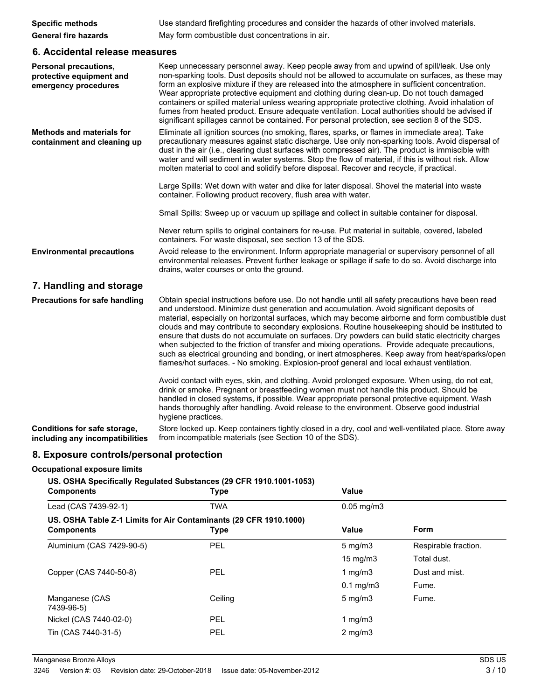| <b>Specific methods</b>     | Use standard firefighting procedures and consider the hazards of other involved materials. |
|-----------------------------|--------------------------------------------------------------------------------------------|
| <b>General fire hazards</b> | May form combustible dust concentrations in air.                                           |

## **6. Accidental release measures**

| <b>Personal precautions,</b><br>protective equipment and<br>emergency procedures | Keep unnecessary personnel away. Keep people away from and upwind of spill/leak. Use only<br>non-sparking tools. Dust deposits should not be allowed to accumulate on surfaces, as these may<br>form an explosive mixture if they are released into the atmosphere in sufficient concentration.<br>Wear appropriate protective equipment and clothing during clean-up. Do not touch damaged<br>containers or spilled material unless wearing appropriate protective clothing. Avoid inhalation of<br>fumes from heated product. Ensure adequate ventilation. Local authorities should be advised if<br>significant spillages cannot be contained. For personal protection, see section 8 of the SDS.                                                                                                          |
|----------------------------------------------------------------------------------|---------------------------------------------------------------------------------------------------------------------------------------------------------------------------------------------------------------------------------------------------------------------------------------------------------------------------------------------------------------------------------------------------------------------------------------------------------------------------------------------------------------------------------------------------------------------------------------------------------------------------------------------------------------------------------------------------------------------------------------------------------------------------------------------------------------|
| <b>Methods and materials for</b><br>containment and cleaning up                  | Eliminate all ignition sources (no smoking, flares, sparks, or flames in immediate area). Take<br>precautionary measures against static discharge. Use only non-sparking tools. Avoid dispersal of<br>dust in the air (i.e., clearing dust surfaces with compressed air). The product is immiscible with<br>water and will sediment in water systems. Stop the flow of material, if this is without risk. Allow<br>molten material to cool and solidify before disposal. Recover and recycle, if practical.                                                                                                                                                                                                                                                                                                   |
|                                                                                  | Large Spills: Wet down with water and dike for later disposal. Shovel the material into waste<br>container. Following product recovery, flush area with water.                                                                                                                                                                                                                                                                                                                                                                                                                                                                                                                                                                                                                                                |
|                                                                                  | Small Spills: Sweep up or vacuum up spillage and collect in suitable container for disposal.                                                                                                                                                                                                                                                                                                                                                                                                                                                                                                                                                                                                                                                                                                                  |
|                                                                                  | Never return spills to original containers for re-use. Put material in suitable, covered, labeled<br>containers. For waste disposal, see section 13 of the SDS.                                                                                                                                                                                                                                                                                                                                                                                                                                                                                                                                                                                                                                               |
| <b>Environmental precautions</b>                                                 | Avoid release to the environment. Inform appropriate managerial or supervisory personnel of all<br>environmental releases. Prevent further leakage or spillage if safe to do so. Avoid discharge into<br>drains, water courses or onto the ground.                                                                                                                                                                                                                                                                                                                                                                                                                                                                                                                                                            |
| 7. Handling and storage                                                          |                                                                                                                                                                                                                                                                                                                                                                                                                                                                                                                                                                                                                                                                                                                                                                                                               |
| <b>Precautions for safe handling</b>                                             | Obtain special instructions before use. Do not handle until all safety precautions have been read<br>and understood. Minimize dust generation and accumulation. Avoid significant deposits of<br>material, especially on horizontal surfaces, which may become airborne and form combustible dust<br>clouds and may contribute to secondary explosions. Routine house keeping should be instituted to<br>ensure that dusts do not accumulate on surfaces. Dry powders can build static electricity charges<br>when subjected to the friction of transfer and mixing operations. Provide adequate precautions,<br>such as electrical grounding and bonding, or inert atmospheres. Keep away from heat/sparks/open<br>flames/hot surfaces. - No smoking. Explosion-proof general and local exhaust ventilation. |
|                                                                                  | Avoid contact with eyes, skin, and clothing. Avoid prolonged exposure. When using, do not eat,<br>drink or smoke. Pregnant or breastfeeding women must not handle this product. Should be<br>handled in closed systems, if possible. Wear appropriate personal protective equipment. Wash<br>hands thoroughly after handling. Avoid release to the environment. Observe good industrial<br>hygiene practices.                                                                                                                                                                                                                                                                                                                                                                                                 |
| Conditions for safe storage,<br>including any incompatibilities                  | Store locked up. Keep containers tightly closed in a dry, cool and well-ventilated place. Store away<br>from incompatible materials (see Section 10 of the SDS).                                                                                                                                                                                                                                                                                                                                                                                                                                                                                                                                                                                                                                              |

## **8. Exposure controls/personal protection**

## **Occupational exposure limits**

## **US. OSHA Specifically Regulated Substances (29 CFR 1910.1001-1053)**

| <b>Components</b>                                                 | Type       | <b>Value</b>      |                      |
|-------------------------------------------------------------------|------------|-------------------|----------------------|
| Lead (CAS 7439-92-1)                                              | <b>TWA</b> | $0.05$ mg/m $3$   |                      |
| US. OSHA Table Z-1 Limits for Air Contaminants (29 CFR 1910.1000) |            |                   |                      |
| <b>Components</b>                                                 | Type       | Value             | Form                 |
| Aluminium (CAS 7429-90-5)                                         | <b>PEL</b> | $5 \text{ mg/m}$  | Respirable fraction. |
|                                                                   |            | $15 \text{ mg/m}$ | Total dust.          |
| Copper (CAS 7440-50-8)                                            | <b>PEL</b> | 1 $mq/m3$         | Dust and mist.       |
|                                                                   |            | $0.1$ mg/m $3$    | Fume.                |
| Manganese (CAS<br>7439-96-5)                                      | Ceiling    | $5 \text{ mg/m}$  | Fume.                |
| Nickel (CAS 7440-02-0)                                            | <b>PEL</b> | 1 $mq/m3$         |                      |
| Tin (CAS 7440-31-5)                                               | <b>PEL</b> | $2 \text{ mg/m}$  |                      |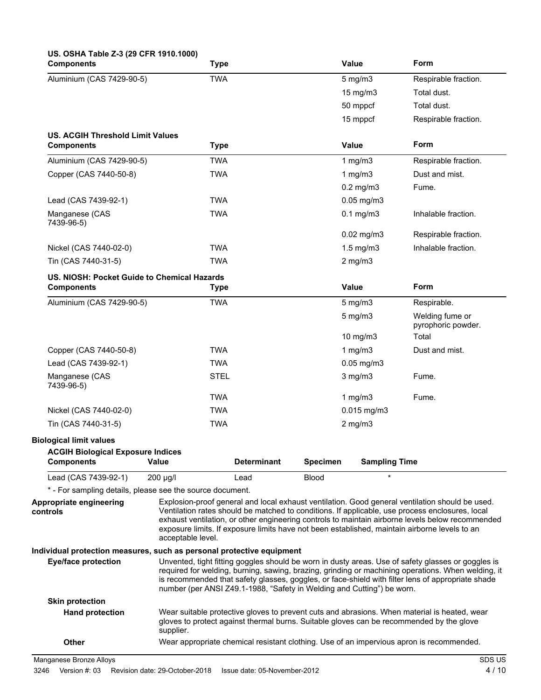| US. OSHA Table Z-3 (29 CFR 1910.1000)<br><b>Components</b>            | <b>Type</b>                                                            |                    |                 | Value                | Form                                                                                                                                                                                                                                                                                                                                                                                                    |
|-----------------------------------------------------------------------|------------------------------------------------------------------------|--------------------|-----------------|----------------------|---------------------------------------------------------------------------------------------------------------------------------------------------------------------------------------------------------------------------------------------------------------------------------------------------------------------------------------------------------------------------------------------------------|
| Aluminium (CAS 7429-90-5)                                             | <b>TWA</b>                                                             |                    |                 | $5$ mg/m $3$         | Respirable fraction.                                                                                                                                                                                                                                                                                                                                                                                    |
|                                                                       |                                                                        |                    |                 | 15 mg/m3             | Total dust.                                                                                                                                                                                                                                                                                                                                                                                             |
|                                                                       |                                                                        |                    |                 | 50 mppcf             | Total dust.                                                                                                                                                                                                                                                                                                                                                                                             |
|                                                                       |                                                                        |                    |                 | 15 mppcf             | Respirable fraction.                                                                                                                                                                                                                                                                                                                                                                                    |
| <b>US. ACGIH Threshold Limit Values</b><br><b>Components</b>          | <b>Type</b>                                                            |                    |                 | Value                | Form                                                                                                                                                                                                                                                                                                                                                                                                    |
| Aluminium (CAS 7429-90-5)                                             | <b>TWA</b>                                                             |                    |                 | 1 $mg/m3$            | Respirable fraction.                                                                                                                                                                                                                                                                                                                                                                                    |
| Copper (CAS 7440-50-8)                                                | <b>TWA</b>                                                             |                    |                 | 1 $mg/m3$            | Dust and mist.                                                                                                                                                                                                                                                                                                                                                                                          |
|                                                                       |                                                                        |                    |                 | $0.2$ mg/m $3$       | Fume.                                                                                                                                                                                                                                                                                                                                                                                                   |
| Lead (CAS 7439-92-1)                                                  | <b>TWA</b>                                                             |                    |                 | $0.05$ mg/m $3$      |                                                                                                                                                                                                                                                                                                                                                                                                         |
| Manganese (CAS<br>7439-96-5)                                          | <b>TWA</b>                                                             |                    |                 | $0.1$ mg/m $3$       | Inhalable fraction.                                                                                                                                                                                                                                                                                                                                                                                     |
|                                                                       |                                                                        |                    |                 | $0.02$ mg/m3         | Respirable fraction.                                                                                                                                                                                                                                                                                                                                                                                    |
| Nickel (CAS 7440-02-0)                                                | <b>TWA</b>                                                             |                    |                 | $1.5$ mg/m $3$       | Inhalable fraction.                                                                                                                                                                                                                                                                                                                                                                                     |
| Tin (CAS 7440-31-5)                                                   | <b>TWA</b>                                                             |                    |                 | $2$ mg/m $3$         |                                                                                                                                                                                                                                                                                                                                                                                                         |
| US. NIOSH: Pocket Guide to Chemical Hazards<br><b>Components</b>      | <b>Type</b>                                                            |                    |                 | Value                | Form                                                                                                                                                                                                                                                                                                                                                                                                    |
| Aluminium (CAS 7429-90-5)                                             | <b>TWA</b>                                                             |                    |                 | $5$ mg/m $3$         | Respirable.                                                                                                                                                                                                                                                                                                                                                                                             |
|                                                                       |                                                                        |                    |                 | $5 \text{ mg/m}$     | Welding fume or<br>pyrophoric powder.                                                                                                                                                                                                                                                                                                                                                                   |
|                                                                       |                                                                        |                    |                 | 10 mg/m3             | Total                                                                                                                                                                                                                                                                                                                                                                                                   |
| Copper (CAS 7440-50-8)                                                | <b>TWA</b>                                                             |                    |                 | 1 $mg/m3$            | Dust and mist.                                                                                                                                                                                                                                                                                                                                                                                          |
| Lead (CAS 7439-92-1)                                                  | <b>TWA</b>                                                             |                    |                 | $0.05$ mg/m $3$      |                                                                                                                                                                                                                                                                                                                                                                                                         |
| Manganese (CAS<br>7439-96-5)                                          | <b>STEL</b>                                                            |                    |                 | $3$ mg/m $3$         | Fume.                                                                                                                                                                                                                                                                                                                                                                                                   |
|                                                                       | <b>TWA</b>                                                             |                    |                 | 1 $mg/m3$            | Fume.                                                                                                                                                                                                                                                                                                                                                                                                   |
| Nickel (CAS 7440-02-0)                                                | <b>TWA</b>                                                             |                    |                 | $0.015$ mg/m3        |                                                                                                                                                                                                                                                                                                                                                                                                         |
| Tin (CAS 7440-31-5)                                                   | <b>TWA</b>                                                             |                    |                 | $2$ mg/m $3$         |                                                                                                                                                                                                                                                                                                                                                                                                         |
| <b>Biological limit values</b>                                        |                                                                        |                    |                 |                      |                                                                                                                                                                                                                                                                                                                                                                                                         |
| <b>ACGIH Biological Exposure Indices</b><br><b>Components</b>         | Value                                                                  | <b>Determinant</b> | <b>Specimen</b> | <b>Sampling Time</b> |                                                                                                                                                                                                                                                                                                                                                                                                         |
| Lead (CAS 7439-92-1)                                                  | 200 µg/l                                                               | Lead               | <b>Blood</b>    |                      |                                                                                                                                                                                                                                                                                                                                                                                                         |
| * - For sampling details, please see the source document.             |                                                                        |                    |                 |                      |                                                                                                                                                                                                                                                                                                                                                                                                         |
| Appropriate engineering<br>controls                                   | acceptable level.                                                      |                    |                 |                      | Explosion-proof general and local exhaust ventilation. Good general ventilation should be used.<br>Ventilation rates should be matched to conditions. If applicable, use process enclosures, local<br>exhaust ventilation, or other engineering controls to maintain airborne levels below recommended<br>exposure limits. If exposure limits have not been established, maintain airborne levels to an |
| Individual protection measures, such as personal protective equipment |                                                                        |                    |                 |                      |                                                                                                                                                                                                                                                                                                                                                                                                         |
| <b>Eye/face protection</b>                                            | number (per ANSI Z49.1-1988, "Safety in Welding and Cutting") be worn. |                    |                 |                      | Unvented, tight fitting goggles should be worn in dusty areas. Use of safety glasses or goggles is<br>required for welding, burning, sawing, brazing, grinding or machining operations. When welding, it<br>is recommended that safety glasses, goggles, or face-shield with filter lens of appropriate shade                                                                                           |
| <b>Skin protection</b>                                                |                                                                        |                    |                 |                      |                                                                                                                                                                                                                                                                                                                                                                                                         |
| <b>Hand protection</b>                                                | supplier.                                                              |                    |                 |                      | Wear suitable protective gloves to prevent cuts and abrasions. When material is heated, wear<br>gloves to protect against thermal burns. Suitable gloves can be recommended by the glove                                                                                                                                                                                                                |
| Other                                                                 |                                                                        |                    |                 |                      | Wear appropriate chemical resistant clothing. Use of an impervious apron is recommended.                                                                                                                                                                                                                                                                                                                |

Manganese Bronze Alloys SDS US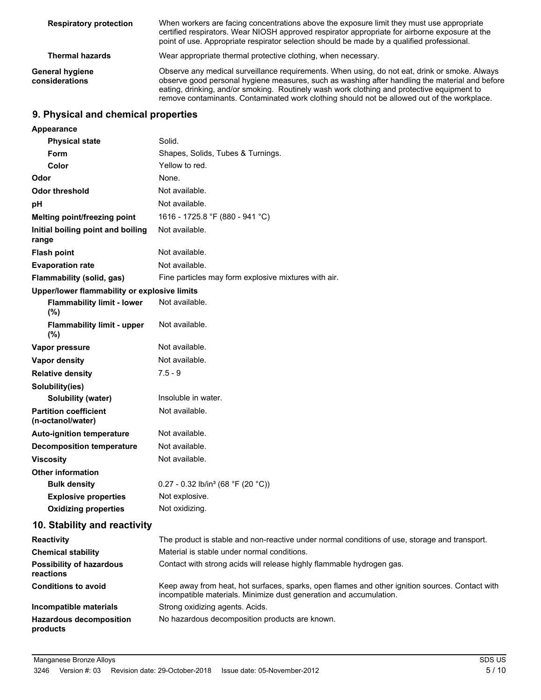| <b>Respiratory protection</b>     | When workers are facing concentrations above the exposure limit they must use appropriate<br>certified respirators. Wear NIOSH approved respirator appropriate for airborne exposure at the<br>point of use. Appropriate respirator selection should be made by a qualified professional.                                                                                                    |
|-----------------------------------|----------------------------------------------------------------------------------------------------------------------------------------------------------------------------------------------------------------------------------------------------------------------------------------------------------------------------------------------------------------------------------------------|
| <b>Thermal hazards</b>            | Wear appropriate thermal protective clothing, when necessary.                                                                                                                                                                                                                                                                                                                                |
| General hygiene<br>considerations | Observe any medical surveillance requirements. When using, do not eat, drink or smoke. Always<br>observe good personal hygiene measures, such as washing after handling the material and before<br>eating, drinking, and/or smoking. Routinely wash work clothing and protective equipment to<br>remove contaminants. Contaminated work clothing should not be allowed out of the workplace. |

## **9. Physical and chemical properties**

| Appearance                                        |                                                                                                                                                                       |
|---------------------------------------------------|-----------------------------------------------------------------------------------------------------------------------------------------------------------------------|
| <b>Physical state</b>                             | Solid.                                                                                                                                                                |
| Form                                              | Shapes, Solids, Tubes & Turnings.                                                                                                                                     |
| Color                                             | Yellow to red.                                                                                                                                                        |
| Odor                                              | None.                                                                                                                                                                 |
| <b>Odor threshold</b>                             | Not available.                                                                                                                                                        |
| рH                                                | Not available.                                                                                                                                                        |
| Melting point/freezing point                      | 1616 - 1725.8 °F (880 - 941 °C)                                                                                                                                       |
| Initial boiling point and boiling<br>range        | Not available.                                                                                                                                                        |
| <b>Flash point</b>                                | Not available.                                                                                                                                                        |
| <b>Evaporation rate</b>                           | Not available.                                                                                                                                                        |
| Flammability (solid, gas)                         | Fine particles may form explosive mixtures with air.                                                                                                                  |
| Upper/lower flammability or explosive limits      |                                                                                                                                                                       |
| <b>Flammability limit - lower</b><br>(%)          | Not available.                                                                                                                                                        |
| <b>Flammability limit - upper</b><br>(%)          | Not available.                                                                                                                                                        |
| Vapor pressure                                    | Not available.                                                                                                                                                        |
| Vapor density                                     | Not available.                                                                                                                                                        |
| <b>Relative density</b>                           | $7.5 - 9$                                                                                                                                                             |
| Solubility(ies)                                   |                                                                                                                                                                       |
| <b>Solubility (water)</b>                         | Insoluble in water.                                                                                                                                                   |
| <b>Partition coefficient</b><br>(n-octanol/water) | Not available.                                                                                                                                                        |
| <b>Auto-ignition temperature</b>                  | Not available.                                                                                                                                                        |
| <b>Decomposition temperature</b>                  | Not available.                                                                                                                                                        |
| <b>Viscosity</b>                                  | Not available.                                                                                                                                                        |
| <b>Other information</b>                          |                                                                                                                                                                       |
| <b>Bulk density</b>                               | 0.27 - 0.32 lb/in <sup>3</sup> (68 °F (20 °C))                                                                                                                        |
| <b>Explosive properties</b>                       | Not explosive.                                                                                                                                                        |
| <b>Oxidizing properties</b>                       | Not oxidizing.                                                                                                                                                        |
| 10. Stability and reactivity                      |                                                                                                                                                                       |
| <b>Reactivity</b>                                 | The product is stable and non-reactive under normal conditions of use, storage and transport.                                                                         |
| <b>Chemical stability</b>                         | Material is stable under normal conditions.                                                                                                                           |
| <b>Possibility of hazardous</b><br>reactions      | Contact with strong acids will release highly flammable hydrogen gas.                                                                                                 |
| <b>Conditions to avoid</b>                        | Keep away from heat, hot surfaces, sparks, open flames and other ignition sources. Contact with<br>incompatible materials. Minimize dust generation and accumulation. |
| Incompatible materials                            | Strong oxidizing agents. Acids.                                                                                                                                       |
| <b>Hazardous decomposition</b><br>products        | No hazardous decomposition products are known.                                                                                                                        |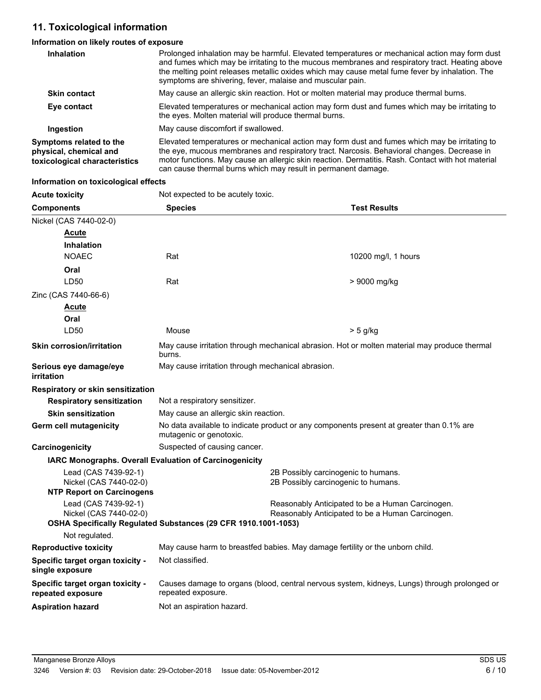## **11. Toxicological information**

## **Information on likely routes of exposure**

| <b>Inhalation</b>                                                                  | Prolonged inhalation may be harmful. Elevated temperatures or mechanical action may form dust<br>and fumes which may be irritating to the mucous membranes and respiratory tract. Heating above<br>the melting point releases metallic oxides which may cause metal fume fever by inhalation. The<br>symptoms are shivering, fever, malaise and muscular pain.    |
|------------------------------------------------------------------------------------|-------------------------------------------------------------------------------------------------------------------------------------------------------------------------------------------------------------------------------------------------------------------------------------------------------------------------------------------------------------------|
| <b>Skin contact</b>                                                                | May cause an allergic skin reaction. Hot or molten material may produce thermal burns.                                                                                                                                                                                                                                                                            |
| Eye contact                                                                        | Elevated temperatures or mechanical action may form dust and fumes which may be irritating to<br>the eyes. Molten material will produce thermal burns.                                                                                                                                                                                                            |
| Ingestion                                                                          | May cause discomfort if swallowed.                                                                                                                                                                                                                                                                                                                                |
| Symptoms related to the<br>physical, chemical and<br>toxicological characteristics | Elevated temperatures or mechanical action may form dust and fumes which may be irritating to<br>the eye, mucous membranes and respiratory tract. Narcosis. Behavioral changes. Decrease in<br>motor functions. May cause an allergic skin reaction. Dermatitis. Rash. Contact with hot material<br>can cause thermal burns which may result in permanent damage. |

#### **Information on toxicological effects**

| <b>Acute toxicity</b>                                         | Not expected to be acutely toxic.<br><b>Test Results</b><br><b>Species</b>                                          |                     |  |
|---------------------------------------------------------------|---------------------------------------------------------------------------------------------------------------------|---------------------|--|
| <b>Components</b>                                             |                                                                                                                     |                     |  |
| Nickel (CAS 7440-02-0)                                        |                                                                                                                     |                     |  |
| <b>Acute</b>                                                  |                                                                                                                     |                     |  |
| <b>Inhalation</b>                                             |                                                                                                                     |                     |  |
| <b>NOAEC</b>                                                  | Rat                                                                                                                 | 10200 mg/l, 1 hours |  |
| Oral                                                          |                                                                                                                     |                     |  |
| LD50                                                          | Rat                                                                                                                 | > 9000 mg/kg        |  |
| Zinc (CAS 7440-66-6)                                          |                                                                                                                     |                     |  |
| <u>Acute</u>                                                  |                                                                                                                     |                     |  |
| Oral                                                          |                                                                                                                     |                     |  |
| LD50                                                          | Mouse                                                                                                               | $> 5$ g/kg          |  |
| <b>Skin corrosion/irritation</b>                              | May cause irritation through mechanical abrasion. Hot or molten material may produce thermal<br>burns.              |                     |  |
| Serious eye damage/eye<br>irritation                          | May cause irritation through mechanical abrasion.                                                                   |                     |  |
| Respiratory or skin sensitization                             |                                                                                                                     |                     |  |
| <b>Respiratory sensitization</b>                              | Not a respiratory sensitizer.                                                                                       |                     |  |
| <b>Skin sensitization</b>                                     | May cause an allergic skin reaction.                                                                                |                     |  |
| <b>Germ cell mutagenicity</b>                                 | No data available to indicate product or any components present at greater than 0.1% are<br>mutagenic or genotoxic. |                     |  |
| Carcinogenicity                                               | Suspected of causing cancer.                                                                                        |                     |  |
| <b>IARC Monographs. Overall Evaluation of Carcinogenicity</b> |                                                                                                                     |                     |  |
| Lead (CAS 7439-92-1)<br>Nickel (CAS 7440-02-0)                | 2B Possibly carcinogenic to humans.<br>2B Possibly carcinogenic to humans.                                          |                     |  |
| <b>NTP Report on Carcinogens</b>                              |                                                                                                                     |                     |  |
| Lead (CAS 7439-92-1)<br>Nickel (CAS 7440-02-0)                | Reasonably Anticipated to be a Human Carcinogen.<br>Reasonably Anticipated to be a Human Carcinogen.                |                     |  |
|                                                               | OSHA Specifically Regulated Substances (29 CFR 1910.1001-1053)                                                      |                     |  |
| Not regulated.                                                |                                                                                                                     |                     |  |
| <b>Reproductive toxicity</b>                                  | May cause harm to breastfed babies. May damage fertility or the unborn child.                                       |                     |  |
| Specific target organ toxicity -<br>single exposure           | Not classified.                                                                                                     |                     |  |
| Specific target organ toxicity -<br>repeated exposure         | Causes damage to organs (blood, central nervous system, kidneys, Lungs) through prolonged or<br>repeated exposure.  |                     |  |
| <b>Aspiration hazard</b>                                      | Not an aspiration hazard.                                                                                           |                     |  |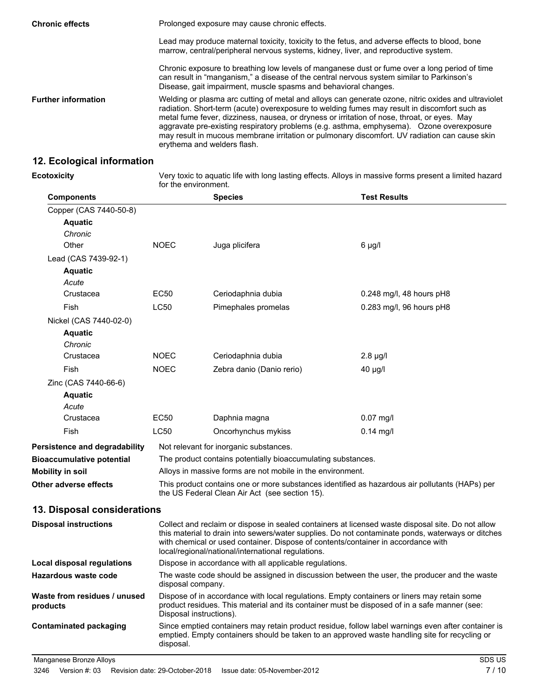| <b>Chronic effects</b>     | Prolonged exposure may cause chronic effects.                                                                                                                                                                                                                                                                                                                                                                                                                                                                                  |  |  |
|----------------------------|--------------------------------------------------------------------------------------------------------------------------------------------------------------------------------------------------------------------------------------------------------------------------------------------------------------------------------------------------------------------------------------------------------------------------------------------------------------------------------------------------------------------------------|--|--|
|                            | Lead may produce maternal toxicity, toxicity to the fetus, and adverse effects to blood, bone<br>marrow, central/peripheral nervous systems, kidney, liver, and reproductive system.                                                                                                                                                                                                                                                                                                                                           |  |  |
|                            | Chronic exposure to breathing low levels of manganese dust or fume over a long period of time<br>can result in "manganism," a disease of the central nervous system similar to Parkinson's<br>Disease, gait impairment, muscle spasms and behavioral changes.                                                                                                                                                                                                                                                                  |  |  |
| <b>Further information</b> | Welding or plasma arc cutting of metal and alloys can generate ozone, nitric oxides and ultraviolet<br>radiation. Short-term (acute) overexposure to welding fumes may result in discomfort such as<br>metal fume fever, dizziness, nausea, or dryness or irritation of nose, throat, or eyes. May<br>aggravate pre-existing respiratory problems (e.g. asthma, emphysema). Ozone overexposure<br>may result in mucous membrane irritation or pulmonary discomfort. UV radiation can cause skin<br>erythema and welders flash. |  |  |

## **12. Ecological information**

**Ecotoxicity**

Very toxic to aquatic life with long lasting effects. Alloys in massive forms present a limited hazard for the environment.

| <b>Components</b>                        |                   | <b>Species</b>                                                                                                                          | <b>Test Results</b>                                                                                                                                                                                    |
|------------------------------------------|-------------------|-----------------------------------------------------------------------------------------------------------------------------------------|--------------------------------------------------------------------------------------------------------------------------------------------------------------------------------------------------------|
| Copper (CAS 7440-50-8)                   |                   |                                                                                                                                         |                                                                                                                                                                                                        |
| <b>Aquatic</b>                           |                   |                                                                                                                                         |                                                                                                                                                                                                        |
| Chronic                                  |                   |                                                                                                                                         |                                                                                                                                                                                                        |
| Other                                    | <b>NOEC</b>       | Juga plicifera                                                                                                                          | $6 \mu g/l$                                                                                                                                                                                            |
| Lead (CAS 7439-92-1)                     |                   |                                                                                                                                         |                                                                                                                                                                                                        |
| <b>Aquatic</b>                           |                   |                                                                                                                                         |                                                                                                                                                                                                        |
| Acute                                    |                   |                                                                                                                                         |                                                                                                                                                                                                        |
| Crustacea                                | EC50              | Ceriodaphnia dubia                                                                                                                      | $0.248$ mg/l, 48 hours pH8                                                                                                                                                                             |
| Fish                                     | LC50              | Pimephales promelas                                                                                                                     | $0.283$ mg/l, 96 hours pH8                                                                                                                                                                             |
| Nickel (CAS 7440-02-0)                   |                   |                                                                                                                                         |                                                                                                                                                                                                        |
| <b>Aquatic</b>                           |                   |                                                                                                                                         |                                                                                                                                                                                                        |
| Chronic                                  |                   |                                                                                                                                         |                                                                                                                                                                                                        |
| Crustacea                                | <b>NOEC</b>       | Ceriodaphnia dubia                                                                                                                      | $2.8 \mu g/l$                                                                                                                                                                                          |
| Fish                                     | <b>NOEC</b>       | Zebra danio (Danio rerio)                                                                                                               | $40 \mu g/l$                                                                                                                                                                                           |
| Zinc (CAS 7440-66-6)                     |                   |                                                                                                                                         |                                                                                                                                                                                                        |
| <b>Aquatic</b>                           |                   |                                                                                                                                         |                                                                                                                                                                                                        |
| Acute                                    |                   |                                                                                                                                         |                                                                                                                                                                                                        |
| Crustacea                                | EC <sub>50</sub>  | Daphnia magna                                                                                                                           | $0.07$ mg/l                                                                                                                                                                                            |
| Fish                                     | LC50              | Oncorhynchus mykiss                                                                                                                     | $0.14$ mg/l                                                                                                                                                                                            |
| Persistence and degradability            |                   | Not relevant for inorganic substances.                                                                                                  |                                                                                                                                                                                                        |
| <b>Bioaccumulative potential</b>         |                   | The product contains potentially bioaccumulating substances.                                                                            |                                                                                                                                                                                                        |
| <b>Mobility in soil</b>                  |                   | Alloys in massive forms are not mobile in the environment.                                                                              |                                                                                                                                                                                                        |
| Other adverse effects                    |                   | the US Federal Clean Air Act (see section 15).                                                                                          | This product contains one or more substances identified as hazardous air pollutants (HAPs) per                                                                                                         |
| 13. Disposal considerations              |                   |                                                                                                                                         |                                                                                                                                                                                                        |
| <b>Disposal instructions</b>             |                   | with chemical or used container. Dispose of contents/container in accordance with<br>local/regional/national/international regulations. | Collect and reclaim or dispose in sealed containers at licensed waste disposal site. Do not allow<br>this material to drain into sewers/water supplies. Do not contaminate ponds, waterways or ditches |
| Local disposal regulations               |                   | Dispose in accordance with all applicable regulations.                                                                                  |                                                                                                                                                                                                        |
| Hazardous waste code                     | disposal company. |                                                                                                                                         | The waste code should be assigned in discussion between the user, the producer and the waste                                                                                                           |
| Waste from residues / unused<br>products |                   | Disposal instructions).                                                                                                                 | Dispose of in accordance with local regulations. Empty containers or liners may retain some<br>product residues. This material and its container must be disposed of in a safe manner (see:            |
| <b>Contaminated packaging</b>            | disposal.         |                                                                                                                                         | Since emptied containers may retain product residue, follow label warnings even after container is<br>emptied. Empty containers should be taken to an approved waste handling site for recycling or    |
| Manganese Bronze Alloys                  |                   |                                                                                                                                         | SDS US                                                                                                                                                                                                 |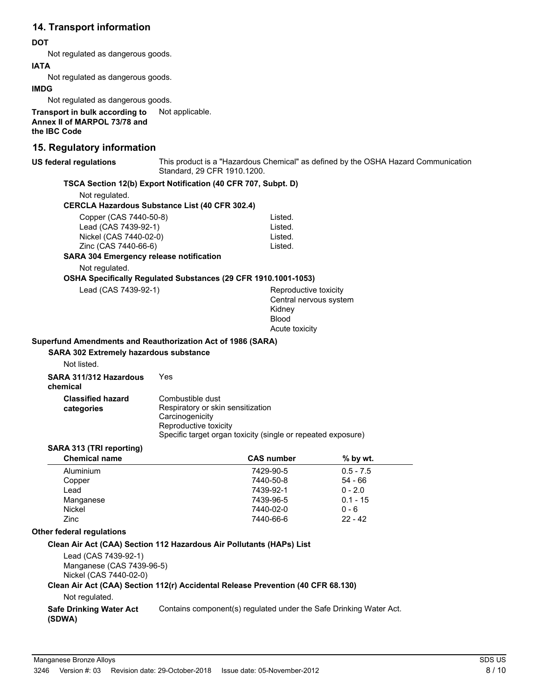## **14. Transport information**

## **DOT**

Not regulated as dangerous goods.

## **IATA**

Not regulated as dangerous goods.

### **IMDG**

Not regulated as dangerous goods.

**Transport in bulk according to** Not applicable. **Annex II of MARPOL 73/78 and the IBC Code**

## **15. Regulatory information**

#### **US federal regulations**

This product is a "Hazardous Chemical" as defined by the OSHA Hazard Communication Standard, 29 CFR 1910.1200.

## **TSCA Section 12(b) Export Notification (40 CFR 707, Subpt. D)**

Not regulated.

#### **CERCLA Hazardous Substance List (40 CFR 302.4)**

| Copper (CAS 7440-50-8) | Listed. |
|------------------------|---------|
| Lead (CAS 7439-92-1)   | Listed. |
| Nickel (CAS 7440-02-0) | Listed. |
| Zinc (CAS 7440-66-6)   | Listed. |

#### **SARA 304 Emergency release notification**

Not regulated.

### **OSHA Specifically Regulated Substances (29 CFR 1910.1001-1053)**

| Lead (CAS 7439-92-1) |
|----------------------|
|----------------------|

Reproductive toxicity Central nervous system Kidney Blood Acute toxicity

### **Superfund Amendments and Reauthorization Act of 1986 (SARA)**

**SARA 302 Extremely hazardous substance**

| Not listed. |
|-------------|
|-------------|

| SARA 311/312 Hazardous<br>chemical     | Yes                                                                                               |
|----------------------------------------|---------------------------------------------------------------------------------------------------|
| <b>Classified hazard</b><br>categories | Combustible dust<br>Respiratory or skin sensitization<br>Carcinogenicity<br>Reproductive toxicity |
|                                        | Specific target organ toxicity (single or repeated exposure)                                      |

### **SARA 313 (TRI reporting)**

| <b>Chemical name</b> | <b>CAS number</b> | $%$ by wt.  |  |
|----------------------|-------------------|-------------|--|
| Aluminium            | 7429-90-5         | $0.5 - 7.5$ |  |
| Copper               | 7440-50-8         | $54 - 66$   |  |
| Lead                 | 7439-92-1         | $0 - 2.0$   |  |
| Manganese            | 7439-96-5         | $0.1 - 15$  |  |
| Nickel               | 7440-02-0         | $0 - 6$     |  |
| Zinc                 | 7440-66-6         | $22 - 42$   |  |

#### **Other federal regulations**

### **Clean Air Act (CAA) Section 112 Hazardous Air Pollutants (HAPs) List**

Lead (CAS 7439-92-1) Manganese (CAS 7439-96-5) Nickel (CAS 7440-02-0)

#### **Clean Air Act (CAA) Section 112(r) Accidental Release Prevention (40 CFR 68.130)**

Not regulated.

**Safe Drinking Water Act** Contains component(s) regulated under the Safe Drinking Water Act. **(SDWA)**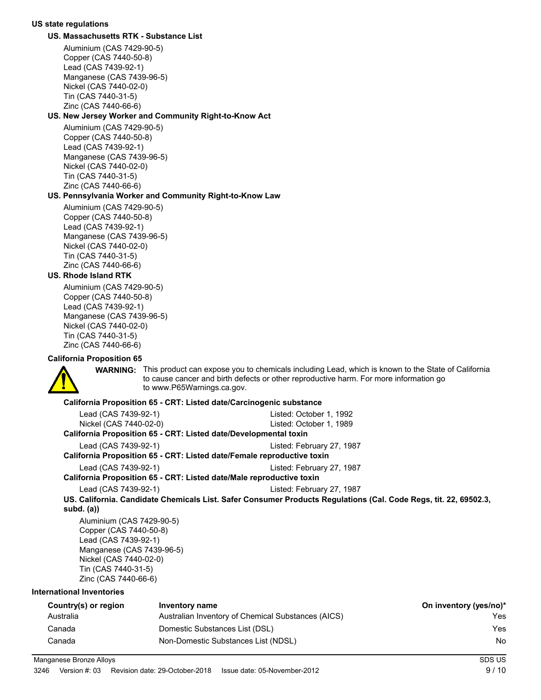#### **US state regulations**

#### **US. Massachusetts RTK - Substance List**

Aluminium (CAS 7429-90-5) Copper (CAS 7440-50-8) Lead (CAS 7439-92-1) Manganese (CAS 7439-96-5) Nickel (CAS 7440-02-0) Tin (CAS 7440-31-5) Zinc (CAS 7440-66-6)

#### **US. New Jersey Worker and Community Right-to-Know Act**

Aluminium (CAS 7429-90-5) Copper (CAS 7440-50-8) Lead (CAS 7439-92-1) Manganese (CAS 7439-96-5) Nickel (CAS 7440-02-0) Tin (CAS 7440-31-5) Zinc (CAS 7440-66-6)

#### **US. Pennsylvania Worker and Community Right-to-Know Law**

Aluminium (CAS 7429-90-5) Copper (CAS 7440-50-8) Lead (CAS 7439-92-1) Manganese (CAS 7439-96-5) Nickel (CAS 7440-02-0) Tin (CAS 7440-31-5) Zinc (CAS 7440-66-6)

### **US. Rhode Island RTK**

Aluminium (CAS 7429-90-5) Copper (CAS 7440-50-8) Lead (CAS 7439-92-1) Manganese (CAS 7439-96-5) Nickel (CAS 7440-02-0) Tin (CAS 7440-31-5) Zinc (CAS 7440-66-6)

#### **California Proposition 65**



WARNING: This product can expose you to chemicals including Lead, which is known to the State of California to cause cancer and birth defects or other reproductive harm. For more information go to www.P65Warnings.ca.gov.

#### **California Proposition 65 - CRT: Listed date/Carcinogenic substance**

| Lead (CAS 7439-92-1)                                                   | Listed: October 1, 1992                                                                                          |
|------------------------------------------------------------------------|------------------------------------------------------------------------------------------------------------------|
| Nickel (CAS 7440-02-0)                                                 | Listed: October 1, 1989                                                                                          |
| California Proposition 65 - CRT: Listed date/Developmental toxin       |                                                                                                                  |
| Lead (CAS 7439-92-1)                                                   | Listed: February 27, 1987                                                                                        |
| California Proposition 65 - CRT: Listed date/Female reproductive toxin |                                                                                                                  |
| Lead (CAS 7439-92-1)                                                   | Listed: February 27, 1987                                                                                        |
| California Proposition 65 - CRT: Listed date/Male reproductive toxin   |                                                                                                                  |
| Lead (CAS 7439-92-1)                                                   | Listed: February 27, 1987                                                                                        |
| subd. (a))                                                             | US. California. Candidate Chemicals List. Safer Consumer Products Regulations (Cal. Code Regs, tit. 22, 69502.3, |
| Aluminium (CAS 7429-90-5)                                              |                                                                                                                  |
| Copper (CAS 7440-50-8)                                                 |                                                                                                                  |
| Lead (CAS 7439-92-1)                                                   |                                                                                                                  |
| Manganese (CAS 7439-96-5)                                              |                                                                                                                  |
| Nickel (CAS 7440-02-0)                                                 |                                                                                                                  |

Tin (CAS 7440-31-5)

Zinc (CAS 7440-66-6)

#### **International Inventories**

| Country(s) or region | Inventory name                                     | On inventory (yes/no)* |
|----------------------|----------------------------------------------------|------------------------|
| Australia            | Australian Inventory of Chemical Substances (AICS) | Yes                    |
| Canada               | Domestic Substances List (DSL)                     | Yes                    |
| Canada               | Non-Domestic Substances List (NDSL)                | No                     |